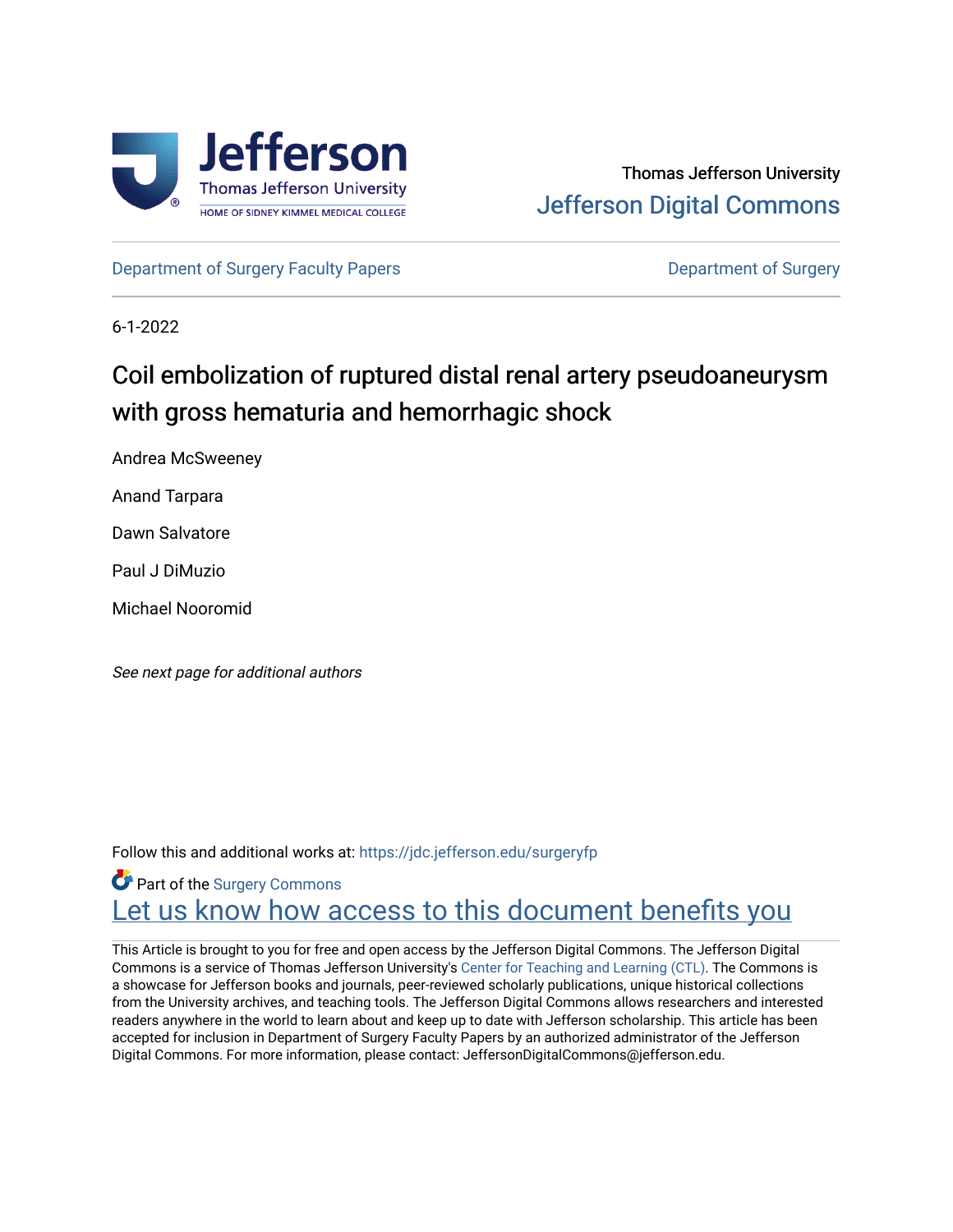

## Thomas Jefferson University [Jefferson Digital Commons](https://jdc.jefferson.edu/)

[Department of Surgery Faculty Papers](https://jdc.jefferson.edu/surgeryfp) **Department of Surgery** Department of Surgery

6-1-2022

# Coil embolization of ruptured distal renal artery pseudoaneurysm with gross hematuria and hemorrhagic shock

Andrea McSweeney

Anand Tarpara

Dawn Salvatore

Paul J DiMuzio

Michael Nooromid

See next page for additional authors

Follow this and additional works at: [https://jdc.jefferson.edu/surgeryfp](https://jdc.jefferson.edu/surgeryfp?utm_source=jdc.jefferson.edu%2Fsurgeryfp%2F216&utm_medium=PDF&utm_campaign=PDFCoverPages)

## **P** Part of the Surgery Commons Let us know how access to this document benefits you

This Article is brought to you for free and open access by the Jefferson Digital Commons. The Jefferson Digital Commons is a service of Thomas Jefferson University's [Center for Teaching and Learning \(CTL\)](http://www.jefferson.edu/university/teaching-learning.html/). The Commons is a showcase for Jefferson books and journals, peer-reviewed scholarly publications, unique historical collections from the University archives, and teaching tools. The Jefferson Digital Commons allows researchers and interested readers anywhere in the world to learn about and keep up to date with Jefferson scholarship. This article has been accepted for inclusion in Department of Surgery Faculty Papers by an authorized administrator of the Jefferson Digital Commons. For more information, please contact: JeffersonDigitalCommons@jefferson.edu.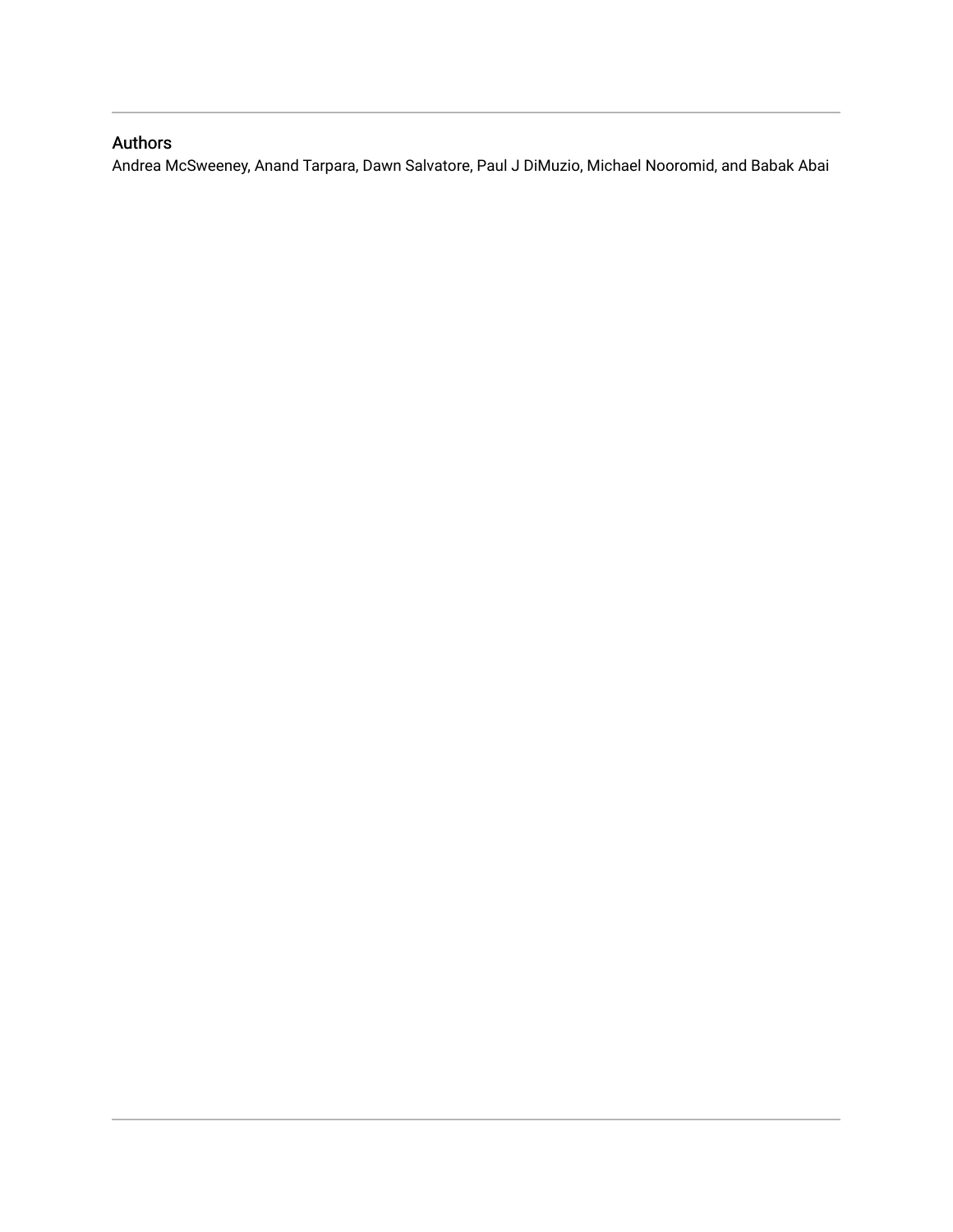### Authors

Andrea McSweeney, Anand Tarpara, Dawn Salvatore, Paul J DiMuzio, Michael Nooromid, and Babak Abai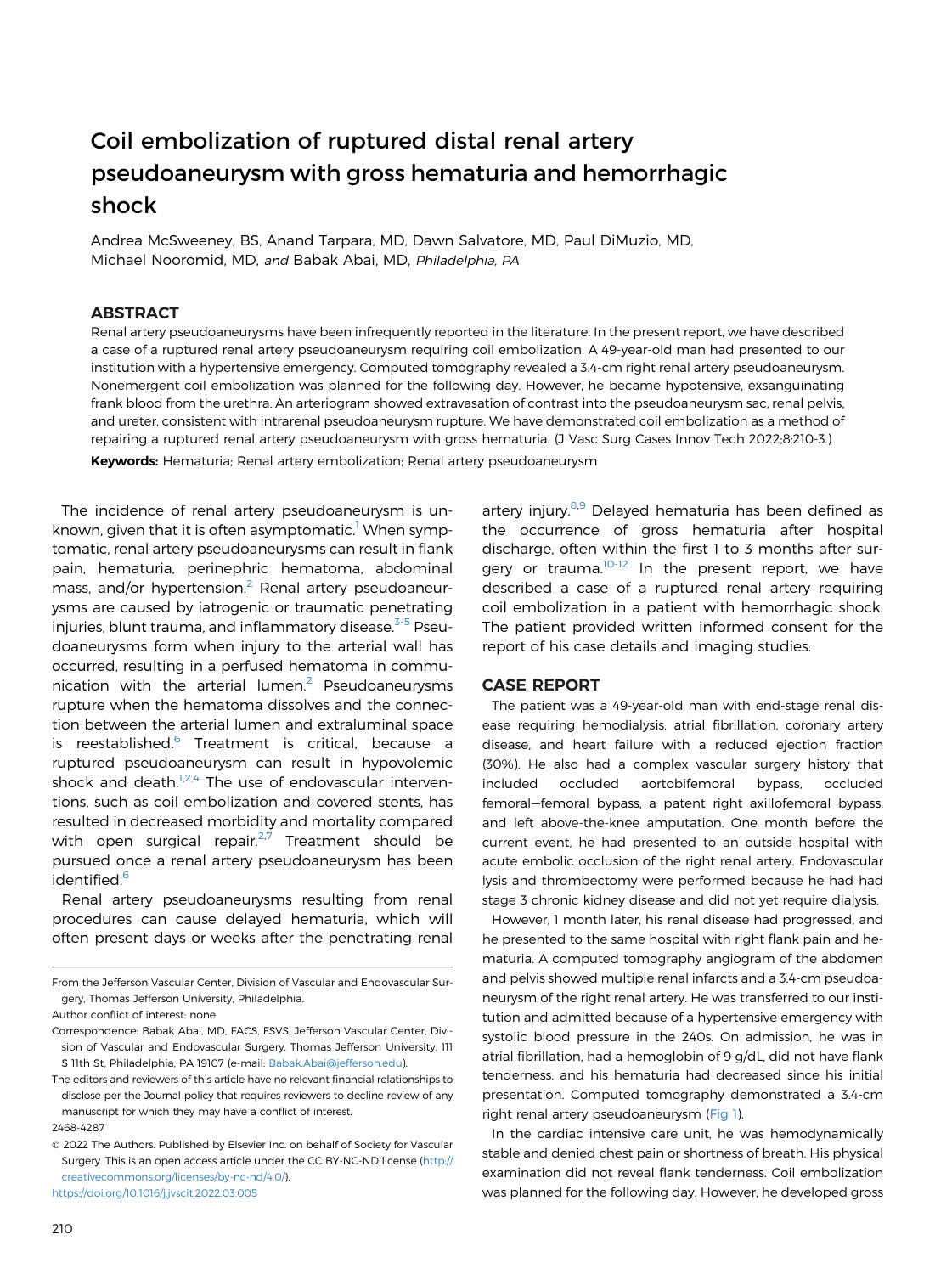### Coil embolization of ruptured distal renal artery pseudoaneurysm with gross hematuria and hemorrhagic shock

Andrea McSweeney, BS, Anand Tarpara, MD, Dawn Salvatore, MD, Paul DiMuzio, MD, Michael Nooromid, MD, and Babak Abai, MD, Philadelphia, PA

#### ABSTRACT

Renal artery pseudoaneurysms have been infrequently reported in the literature. In the present report, we have described a case of a ruptured renal artery pseudoaneurysm requiring coil embolization. A 49-year-old man had presented to our institution with a hypertensive emergency. Computed tomography revealed a 3.4-cm right renal artery pseudoaneurysm. Nonemergent coil embolization was planned for the following day. However, he became hypotensive, exsanguinating frank blood from the urethra. An arteriogram showed extravasation of contrast into the pseudoaneurysm sac, renal pelvis, and ureter, consistent with intrarenal pseudoaneurysm rupture. We have demonstrated coil embolization as a method of repairing a ruptured renal artery pseudoaneurysm with gross hematuria. (J Vasc Surg Cases Innov Tech 2022;8:210-3.)

Keywords: Hematuria; Renal artery embolization; Renal artery pseudoaneurysm

The incidence of renal artery pseudoaneurysm is un-known, given that it is often asymptomatic.<sup>[1](#page-4-0)</sup> When symptomatic, renal artery pseudoaneurysms can result in flank pain, hematuria, perinephric hematoma, abdominal mass, and/or hypertension.<sup>[2](#page-4-1)</sup> Renal artery pseudoaneurysms are caused by iatrogenic or traumatic penetrating injuries, blunt trauma, and inflammatory disease.<sup>[3-5](#page-5-0)</sup> Pseudoaneurysms form when injury to the arterial wall has occurred, resulting in a perfused hematoma in communication with the arterial lumen. $2$  Pseudoaneurysms rupture when the hematoma dissolves and the connection between the arterial lumen and extraluminal space is reestablished.<sup>[6](#page-5-1)</sup> Treatment is critical, because a ruptured pseudoaneurysm can result in hypovolemic shock and death. $1,2,4$  $1,2,4$  $1,2,4$  $1,2,4$  $1,2,4$  The use of endovascular interventions, such as coil embolization and covered stents, has resulted in decreased morbidity and mortality compared with open surgical repair.<sup>[2](#page-4-1),[7](#page-5-3)</sup> Treatment should be pursued once a renal artery pseudoaneurysm has been identified.<sup>[6](#page-5-1)</sup>

Renal artery pseudoaneurysms resulting from renal procedures can cause delayed hematuria, which will often present days or weeks after the penetrating renal

From the Jefferson Vascular Center, Division of Vascular and Endovascular Surgery, Thomas Jefferson University, Philadelphia.

The editors and reviewers of this article have no relevant financial relationships to disclose per the Journal policy that requires reviewers to decline review of any manuscript for which they may have a conflict of interest.

 2022 The Authors. Published by Elsevier Inc. on behalf of Society for Vascular Surgery. This is an open access article under the CC BY-NC-ND license ([http://](http://creativecommons.org/licenses/by-nc-nd/4.0/) [creativecommons.org/licenses/by-nc-nd/4.0/](http://creativecommons.org/licenses/by-nc-nd/4.0/)).

<https://doi.org/10.1016/j.jvscit.2022.03.005>

artery injury.<sup>[8,](#page-5-4)[9](#page-5-5)</sup> Delayed hematuria has been defined as the occurrence of gross hematuria after hospital discharge, often within the first 1 to 3 months after sur-gery or trauma.<sup>[10-12](#page-5-6)</sup> In the present report, we have described a case of a ruptured renal artery requiring coil embolization in a patient with hemorrhagic shock. The patient provided written informed consent for the report of his case details and imaging studies.

#### CASE REPORT

The patient was a 49-year-old man with end-stage renal disease requiring hemodialysis, atrial fibrillation, coronary artery disease, and heart failure with a reduced ejection fraction (30%). He also had a complex vascular surgery history that included occluded aortobifemoral bypass, occluded femoral-femoral bypass, a patent right axillofemoral bypass, and left above-the-knee amputation. One month before the current event, he had presented to an outside hospital with acute embolic occlusion of the right renal artery. Endovascular lysis and thrombectomy were performed because he had had stage 3 chronic kidney disease and did not yet require dialysis.

However, 1 month later, his renal disease had progressed, and he presented to the same hospital with right flank pain and hematuria. A computed tomography angiogram of the abdomen and pelvis showed multiple renal infarcts and a 3.4-cm pseudoaneurysm of the right renal artery. He was transferred to our institution and admitted because of a hypertensive emergency with systolic blood pressure in the 240s. On admission, he was in atrial fibrillation, had a hemoglobin of 9 g/dL, did not have flank tenderness, and his hematuria had decreased since his initial presentation. Computed tomography demonstrated a 3.4-cm right renal artery pseudoaneurysm [\(Fig 1](#page-3-0)).

In the cardiac intensive care unit, he was hemodynamically stable and denied chest pain or shortness of breath. His physical examination did not reveal flank tenderness. Coil embolization was planned for the following day. However, he developed gross

Author conflict of interest: none.

Correspondence: Babak Abai, MD, FACS, FSVS, Jefferson Vascular Center, Division of Vascular and Endovascular Surgery, Thomas Jefferson University, 111 S 11th St, Philadelphia, PA 19107 (e-mail: [Babak.Abai@jefferson.edu](mailto:Babak.Abai@jefferson.edu)).

<sup>2468-4287</sup>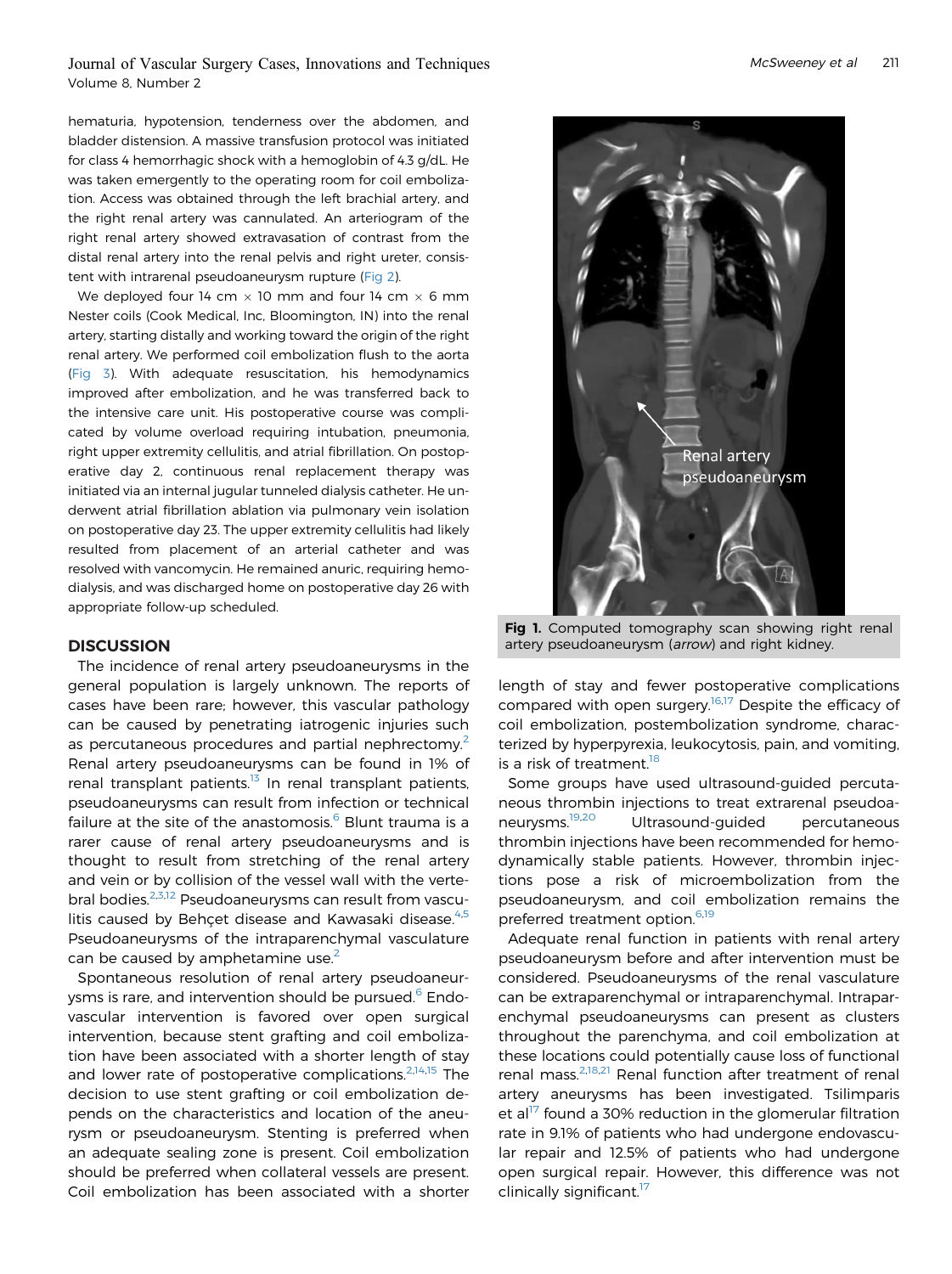hematuria, hypotension, tenderness over the abdomen, and bladder distension. A massive transfusion protocol was initiated for class 4 hemorrhagic shock with a hemoglobin of 4.3 g/dL. He was taken emergently to the operating room for coil embolization. Access was obtained through the left brachial artery, and the right renal artery was cannulated. An arteriogram of the right renal artery showed extravasation of contrast from the distal renal artery into the renal pelvis and right ureter, consistent with intrarenal pseudoaneurysm rupture ([Fig 2\)](#page-4-2).

We deployed four 14 cm  $\times$  10 mm and four 14 cm  $\times$  6 mm Nester coils (Cook Medical, Inc, Bloomington, IN) into the renal artery, starting distally and working toward the origin of the right renal artery. We performed coil embolization flush to the aorta [\(Fig 3\)](#page-4-3). With adequate resuscitation, his hemodynamics improved after embolization, and he was transferred back to the intensive care unit. His postoperative course was complicated by volume overload requiring intubation, pneumonia, right upper extremity cellulitis, and atrial fibrillation. On postoperative day 2, continuous renal replacement therapy was initiated via an internal jugular tunneled dialysis catheter. He underwent atrial fibrillation ablation via pulmonary vein isolation on postoperative day 23. The upper extremity cellulitis had likely resulted from placement of an arterial catheter and was resolved with vancomycin. He remained anuric, requiring hemodialysis, and was discharged home on postoperative day 26 with appropriate follow-up scheduled.

#### **DISCUSSION**

The incidence of renal artery pseudoaneurysms in the general population is largely unknown. The reports of cases have been rare; however, this vascular pathology can be caused by penetrating iatrogenic injuries such as percutaneous procedures and partial nephrectomy.<sup>[2](#page-4-1)</sup> Renal artery pseudoaneurysms can be found in 1% of renal transplant patients. $13$  In renal transplant patients, pseudoaneurysms can result from infection or technical failure at the site of the anastomosis. $<sup>6</sup>$  $<sup>6</sup>$  $<sup>6</sup>$  Blunt trauma is a</sup> rarer cause of renal artery pseudoaneurysms and is thought to result from stretching of the renal artery and vein or by collision of the vessel wall with the verte-bral bodies.<sup>[2,](#page-4-1)[3,](#page-5-0)[12](#page-5-8)</sup> Pseudoaneurysms can result from vasculitis caused by Behçet disease and Kawasaki disease. $4.5$  $4.5$  $4.5$ Pseudoaneurysms of the intraparenchymal vasculature can be caused by amphetamine use.<sup>[2](#page-4-1)</sup>

Spontaneous resolution of renal artery pseudoaneur-ysms is rare, and intervention should be pursued.<sup>[6](#page-5-1)</sup> Endovascular intervention is favored over open surgical intervention, because stent grafting and coil embolization have been associated with a shorter length of stay and lower rate of postoperative complications. $2,14,15$  $2,14,15$  $2,14,15$  The decision to use stent grafting or coil embolization depends on the characteristics and location of the aneurysm or pseudoaneurysm. Stenting is preferred when an adequate sealing zone is present. Coil embolization should be preferred when collateral vessels are present. Coil embolization has been associated with a shorter

<span id="page-3-0"></span>

Fig 1. Computed tomography scan showing right renal artery pseudoaneurysm (arrow) and right kidney.

length of stay and fewer postoperative complications compared with open surgery.<sup>[16](#page-5-12),[17](#page-5-13)</sup> Despite the efficacy of coil embolization, postembolization syndrome, characterized by hyperpyrexia, leukocytosis, pain, and vomiting, is a risk of treatment.<sup>[18](#page-5-14)</sup>

Some groups have used ultrasound-guided percutaneous thrombin injections to treat extrarenal pseudoaneurysms[.19](#page-5-15),[20](#page-5-16) Ultrasound-guided percutaneous thrombin injections have been recommended for hemodynamically stable patients. However, thrombin injections pose a risk of microembolization from the pseudoaneurysm, and coil embolization remains the preferred treatment option.<sup>[6](#page-5-1),[19](#page-5-15)</sup>

Adequate renal function in patients with renal artery pseudoaneurysm before and after intervention must be considered. Pseudoaneurysms of the renal vasculature can be extraparenchymal or intraparenchymal. Intraparenchymal pseudoaneurysms can present as clusters throughout the parenchyma, and coil embolization at these locations could potentially cause loss of functional renal mass.<sup>[2](#page-4-1)[,18,](#page-5-14)[21](#page-5-17)</sup> Renal function after treatment of renal artery aneurysms has been investigated. Tsilimparis et al<sup>17</sup> found a 30% reduction in the glomerular filtration rate in 9.1% of patients who had undergone endovascular repair and 12.5% of patients who had undergone open surgical repair. However, this difference was not clinically significant.<sup>[17](#page-5-13)</sup>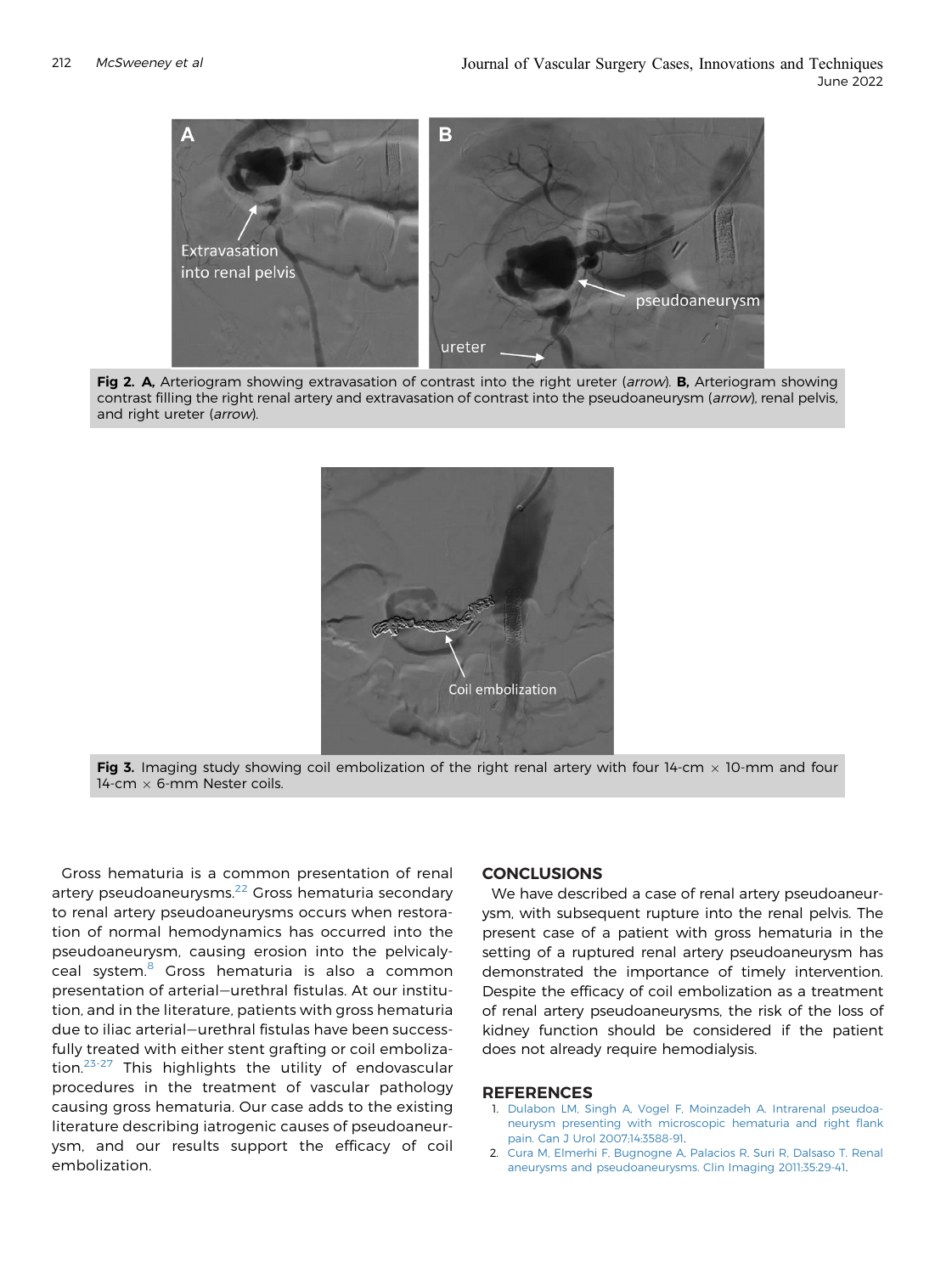<span id="page-4-2"></span>

<span id="page-4-3"></span>Fig 2. A, Arteriogram showing extravasation of contrast into the right ureter (arrow). B, Arteriogram showing contrast filling the right renal artery and extravasation of contrast into the pseudoaneurysm (arrow), renal pelvis, and right ureter (arrow).



Fig 3. Imaging study showing coil embolization of the right renal artery with four 14-cm  $\times$  10-mm and four 14-cm  $\times$  6-mm Nester coils.

Gross hematuria is a common presentation of renal artery pseudoaneurysms.<sup>[22](#page-5-18)</sup> Gross hematuria secondary to renal artery pseudoaneurysms occurs when restoration of normal hemodynamics has occurred into the pseudoaneurysm, causing erosion into the pelvicaly-ceal system.<sup>[8](#page-5-4)</sup> Gross hematuria is also a common presentation of arterial-urethral fistulas. At our institution, and in the literature, patients with gross hematuria due to iliac arterial-urethral fistulas have been successfully treated with either stent grafting or coil embolization.[23-27](#page-5-19) This highlights the utility of endovascular procedures in the treatment of vascular pathology causing gross hematuria. Our case adds to the existing literature describing iatrogenic causes of pseudoaneurysm, and our results support the efficacy of coil embolization.

#### **CONCLUSIONS**

We have described a case of renal artery pseudoaneurysm, with subsequent rupture into the renal pelvis. The present case of a patient with gross hematuria in the setting of a ruptured renal artery pseudoaneurysm has demonstrated the importance of timely intervention. Despite the efficacy of coil embolization as a treatment of renal artery pseudoaneurysms, the risk of the loss of kidney function should be considered if the patient does not already require hemodialysis.

#### <span id="page-4-0"></span>**REFERENCES**

- 1. [Dulabon LM, Singh A, Vogel F, Moinzadeh A. Intrarenal pseudoa](http://refhub.elsevier.com/S2468-4287(22)00037-5/sref1)[neurysm presenting with microscopic hematuria and right](http://refhub.elsevier.com/S2468-4287(22)00037-5/sref1) flank [pain. Can J Urol 2007;14:3588-91](http://refhub.elsevier.com/S2468-4287(22)00037-5/sref1).
- <span id="page-4-1"></span>2. [Cura M, Elmerhi F, Bugnogne A, Palacios R, Suri R, Dalsaso T. Renal](http://refhub.elsevier.com/S2468-4287(22)00037-5/sref2) [aneurysms and pseudoaneurysms. Clin Imaging 2011;35:29-41.](http://refhub.elsevier.com/S2468-4287(22)00037-5/sref2)